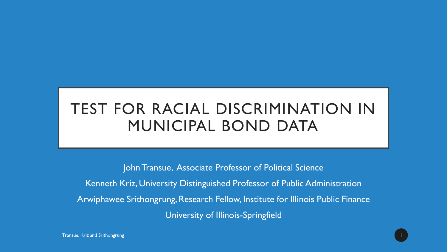# TEST FOR RACIAL DISCRIMINATION IN MUNICIPAL BOND DATA

John Transue, Associate Professor of Political Science

Kenneth Kriz, University Distinguished Professor of Public Administration Arwiphawee Srithongrung, Research Fellow, Institute for Illinois Public Finance

University of Illinois-Springfield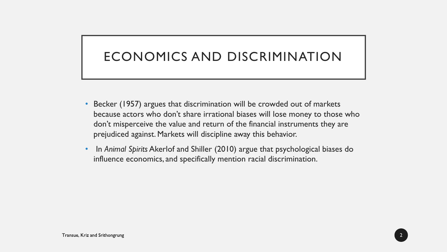## ECONOMICS AND DISCRIMINATION

- Becker (1957) argues that discrimination will be crowded out of markets because actors who don't share irrational biases will lose money to those who don't misperceive the value and return of the financial instruments they are prejudiced against. Markets will discipline away this behavior.
- In *Animal Spirits* Akerlof and Shiller (2010) argue that psychological biases do influence economics, and specifically mention racial discrimination.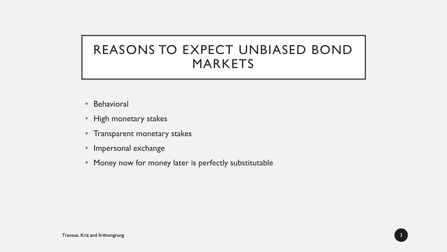### REASONS TO EXPECT UNBIASED BOND MARKETS

- Behavioral
- High monetary stakes
- Transparent monetary stakes
- Impersonal exchange
- Money now for money later is perfectly substitutable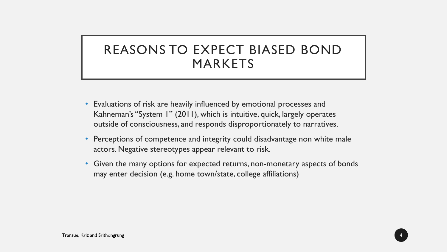### REASONS TO EXPECT BIASED BOND MARKETS

- Evaluations of risk are heavily influenced by emotional processes and Kahneman's "System 1" (2011), which is intuitive, quick, largely operates outside of consciousness, and responds disproportionately to narratives.
- Perceptions of competence and integrity could disadvantage non white male actors. Negative stereotypes appear relevant to risk.
- Given the many options for expected returns, non-monetary aspects of bonds may enter decision (e.g. home town/state, college affiliations)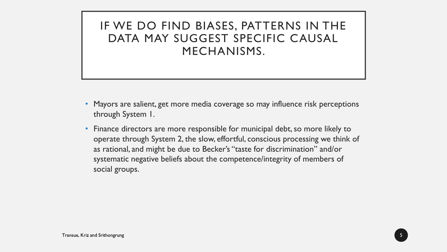IF WE DO FIND BIASES, PATTERNS IN THE DATA MAY SUGGEST SPECIFIC CAUSAL MECHANISMS.

- Mayors are salient, get more media coverage so may influence risk perceptions through System 1.
- Finance directors are more responsible for municipal debt, so more likely to operate through System 2, the slow, effortful, conscious processing we think of as rational, and might be due to Becker's "taste for discrimination" and/or systematic negative beliefs about the competence/integrity of members of social groups.

5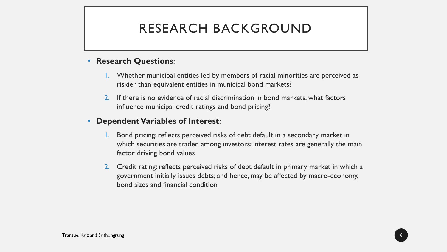#### RESEARCH BACKGROUND

#### • **Research Questions**:

- 1. Whether municipal entities led by members of racial minorities are perceived as riskier than equivalent entities in municipal bond markets?
- 2. If there is no evidence of racial discrimination in bond markets, what factors influence municipal credit ratings and bond pricing?

#### • **Dependent Variables of Interest**:

- 1. Bond pricing: reflects perceived risks of debt default in a secondary market in which securities are traded among investors; interest rates are generally the main factor driving bond values
- 2. Credit rating: reflects perceived risks of debt default in primary market in which a government initially issues debts; and hence, may be affected by macro-economy, bond sizes and financial condition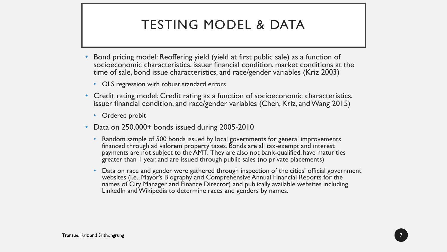## TESTING MODEL & DATA

- Bond pricing model: Reoffering yield (yield at first public sale) as a function of socioeconomic characteristics, issuer financial condition, market conditions at the time of sale, bond issue characteristics, and race/gender variables (Kriz 2003)
	- OLS regression with robust standard errors
- Credit rating model: Credit rating as a function of socioeconomic characteristics, issuer financial condition, and race/gender variables (Chen, Kriz, and Wang 2015)
	- Ordered probit
- Data on 250,000+ bonds issued during 2005-2010
	- Random sample of 500 bonds issued by local governments for general improvements financed through ad valorem property taxes. Bonds are all tax-exempt and interest payments are not subject to the AMT. They are also not bank-qualified, have maturities greater than 1 year, and are issued through public sales (no private placements)
	- Data on race and gender were gathered through inspection of the cities' official government websites (i.e., Mayor's Biography and Comprehensive Annual Financial Reports for the names of City Manager and Finance Director) and publically available websites including LinkedIn and Wikipedia to determine races and genders by names.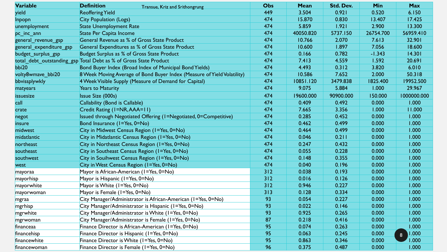| <b>Variable</b>         | <b>Definition</b><br>Transue, Kriz and Srithongrung                     | <b>Obs</b> | Mean      | Std. Dev. | Min       | <b>Max</b>              |
|-------------------------|-------------------------------------------------------------------------|------------|-----------|-----------|-----------|-------------------------|
| yield                   | <b>Reoffering Yield</b>                                                 | 449        | 3.504     | 0.921     | 0.520     | 6.150                   |
| Inpopn                  | <b>City Population (Logs)</b>                                           | 474        | 15.870    | 0.830     | 13.407    | 17.425                  |
| unemployment            | <b>State Unemployment Rate</b>                                          | 474        | 5.859     | 1.921     | 2.900     | 13.300                  |
| pc_inc_ann              | State Per Capita Income                                                 | 474        | 40050.820 | 5737.150  | 26754.700 | 56959.410               |
| general_revenue_gsp     | General Revenue as % of Gross State Product                             | 474        | 10.766    | 2.070     | 7.613     | 32.901                  |
| general expenditure gsp | General Expenditures as % of Gross State Product                        | 474        | 10.600    | 1.897     | 7.056     | 18.600                  |
| budget_surplus_gsp      | Budget Surplus as % of Gross State Product                              | 474        | 0.166     | 0.782     | $-1.343$  | 14.301                  |
|                         | total_debt_outstanding_gsp Total Debt as % of Gross State Product       | 474        | 7.413     | 4.559     | 1.592     | 20.691                  |
| bbi20                   | Bond Buyer Index (Broad Index of Municipal Bond Yields)                 | 474        | 4.493     | 0.312     | 3.820     | 6.010                   |
| volty8wmave_bbi20       | 8 Week Moving Average of Bond Buyer Index (Measure of Yield Volatility) | 474        | 10.586    | 7.652     | 2.000     | 50.318                  |
| bbvissplywkly           | 4 Week Visible Supply (Measure of Demand for Capital)                   | 474        | 10851.120 | 3479.838  | 1825.400  | 19952.500               |
| matyears                | <b>Years to Maturity</b>                                                | 474        | 9.075     | 5.884     | 1.000     | 29.967                  |
| <i>issuesize</i>        | <b>Issue Size (000s)</b>                                                | 474        | 19600.000 | 90900.000 | 150.000   | 1000000.000             |
| call                    | Callability (Bond is Callable)                                          | 474        | 0.409     | 0.492     | 0.000     | 1.000                   |
| crate                   | Credit Rating (I=NR, AAA=11)                                            | 474        | 7.665     | 3.356     | 1.000     | 11.000                  |
| negot                   | Issued through Negotiated Offering (I=Negotiated, 0=Competitive)        | 474        | 0.285     | 0.452     | 0.000     | 1.000                   |
| insure                  | Bond Insurance (I=Yes, 0=No)                                            | 474        | 0.462     | 0.499     | 0.000     | 1.000                   |
| midwest                 | City in Midwest Census Region (I=Yes, 0=No)                             | 474        | 0.464     | 0.499     | 0.000     | 1.000                   |
| midatlantic             | City in Midatlantic Census Region (1=Yes, 0=No)                         | 474        | 0.046     | 0.211     | 0.000     | 1.000                   |
| northeast               | City in Northeast Census Region (I=Yes, 0=No)                           | 474        | 0.247     | 0.432     | 0.000     | 1.000                   |
| southeast               | City in Southeast Census Region (I=Yes, 0=No)                           | 474        | 0.055     | 0.228     | 0.000     | 1.000                   |
| southwest               | City in Souihwest Census Region (1=Yes, 0=No)                           | 474        | 0.148     | 0.355     | 0.000     | 1.000                   |
| west                    | City in West Census Region (I=Yes, 0=No)                                | 474        | 0.040     | 0.196     | 0.000     | 1.000                   |
| mayoraa                 | Mayor is African-American (I=Yes, 0=No)                                 | 312        | 0.038     | 0.193     | 0.000     | 1.000                   |
| mayorhisp               | Mayor is Hispanic (I=Yes, 0=No)                                         | 312        | 0.016     | 0.126     | 0.000     | 1.000                   |
| mayorwhite              | Mayor is White (I=Yes, 0=No)                                            | 312        | 0.946     | 0.227     | 0.000     | 1.000                   |
| mayorwoman              | Mayor is Female (I=Yes, 0=No)                                           | 313        | 0.128     | 0.334     | 0.000     | 1.000                   |
| mgraa                   | City Manager/Administrator is African-American (I=Yes, 0=No)            | 93         | 0.054     | 0.227     | 0.000     | 1.000                   |
| mgrhisp                 | City Manager/Administrator is Hispanic (I=Yes, 0=No)                    | 93         | 0.022     | 0.146     | 0.000     | 1.000                   |
| mgrwhite                | City Manager/Administrator is White (I=Yes, 0=No)                       | 93         | 0.925     | 0.265     | 0.000     | 1.000                   |
| mgrwoman                | City Manager/Administrator is Female (I=Yes, 0=No)                      | 87         | 0.218     | 0.416     | 0.000     | 1.000                   |
| financeaa               | Finance Director is African-American (1=Yes, 0=No)                      | 95         | 0.074     | 0.263     | 0.000     | 1.000                   |
| financehisp             | Finance Director is Hispanic (1=Yes, 0=No)                              | 95         | 0.063     | 0.245     | 0.000     | 1.000<br>$\overline{8}$ |
| financewhite            | Finance Director is White (I=Yes, 0=No)                                 | 95         | 0.863     | 0.346     | 0.000     | 1.000                   |
| financewoman            | Finance Director is Female (1=Yes, 0=No)                                | 96         | 0.375     | 0.487     | 0.000     | 1.000                   |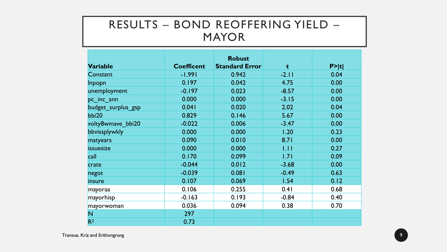#### RESULTS – BOND REOFFERING YIELD – MAYOR

|                    |                   | <b>Robust</b>         |         |        |
|--------------------|-------------------|-----------------------|---------|--------|
| <b>Variable</b>    | <b>Coefficent</b> | <b>Standard Error</b> | t       | P >  t |
| Constant           | $-1.991$          | 0.942                 | $-2.11$ | 0.04   |
| Inpopn             | 0.197             | 0.042                 | 4.75    | 0.00   |
| unemployment       | $-0.197$          | 0.023                 | $-8.57$ | 0.00   |
| pc inc ann         | 0.000             | 0.000                 | $-3.15$ | 0.00   |
| budget surplus gsp | 0.041             | 0.020                 | 2.02    | 0.04   |
| bbi20              | 0.829             | 0.146                 | 5.67    | 0.00   |
| volty8wmave_bbi20  | $-0.022$          | 0.006                 | $-3.47$ | 0.00   |
| bbvissplywkly      | 0.000             | 0.000                 | 1.20    | 0.23   |
| matyears           | 0.090             | 0.010                 | 8.71    | 0.00   |
| issuesize          | 0.000             | 0.000                 | 1.11    | 0.27   |
| call               | 0.170             | 0.099                 | 1.71    | 0.09   |
| crate              | $-0.044$          | 0.012                 | $-3.68$ | 0.00   |
| negot              | $-0.039$          | 0.081                 | $-0.49$ | 0.63   |
| insure             | 0.107             | 0.069                 | 1.54    | 0.12   |
| mayoraa            | 0.106             | 0.255                 | 0.41    | 0.68   |
| mayorhisp          | $-0.163$          | 0.193                 | $-0.84$ | 0.40   |
| mayorwoman         | 0.036             | 0.094                 | 0.38    | 0.70   |
| N                  | 297               |                       |         |        |
| R <sup>2</sup>     | 0.73              |                       |         |        |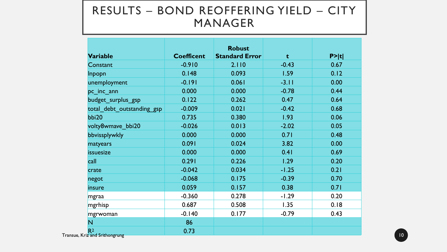#### RESULTS – BOND REOFFERING YIELD – CITY MANAGER

| <b>Variable</b>                        | <b>Coefficent</b> | <b>Robust</b><br><b>Standard Error</b> | t       | P >  t |
|----------------------------------------|-------------------|----------------------------------------|---------|--------|
| Constant                               | $-0.910$          | 2.110                                  | $-0.43$ | 0.67   |
| Inpopn                                 | 0.148             | 0.093                                  | 1.59    | 0.12   |
| unemployment                           | $-0.191$          | 0.061                                  | $-3.11$ | 0.00   |
| pc inc ann                             | 0.000             | 0.000                                  | $-0.78$ | 0.44   |
| budget_surplus_gsp                     | 0.122             | 0.262                                  | 0.47    | 0.64   |
| total debt outstanding gsp             | $-0.009$          | 0.021                                  | $-0.42$ | 0.68   |
| bbi20                                  | 0.735             | 0.380                                  | 1.93    | 0.06   |
| volty8wmave_bbi20                      | $-0.026$          | 0.013                                  | $-2.02$ | 0.05   |
| bbvissplywkly                          | 0.000             | 0.000                                  | 0.71    | 0.48   |
| matyears                               | 0.091             | 0.024                                  | 3.82    | 0.00   |
| issuesize                              | 0.000             | 0.000                                  | 0.41    | 0.69   |
| call                                   | 0.291             | 0.226                                  | 1.29    | 0.20   |
| crate                                  | $-0.042$          | 0.034                                  | $-1.25$ | 0.21   |
| negot                                  | $-0.068$          | 0.175                                  | $-0.39$ | 0.70   |
| insure                                 | 0.059             | 0.157                                  | 0.38    | 0.71   |
| mgraa                                  | $-0.360$          | 0.278                                  | $-1.29$ | 0.20   |
| mgrhisp                                | 0.687             | 0.508                                  | 1.35    | 0.18   |
| mgrwoman                               | $-0.140$          | 0.177                                  | $-0.79$ | 0.43   |
| N                                      | 86                |                                        |         |        |
| R <sup>2</sup><br>riz and Srithongrung | 0.73              |                                        |         |        |

Transue, Kı יפי "ნ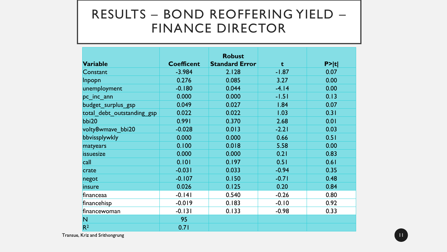#### RESULTS – BOND REOFFERING YIELD – FINANCE DIRECTOR

|                            |                   | <b>Robust</b>         |         |        |
|----------------------------|-------------------|-----------------------|---------|--------|
| <b>Variable</b>            | <b>Coefficent</b> | <b>Standard Error</b> | t       | P >  t |
| Constant                   | $-3.984$          | 2.128                 | $-1.87$ | 0.07   |
| Inpopn                     | 0.276             | 0.085                 | 3.27    | 0.00   |
| unemployment               | $-0.180$          | 0.044                 | $-4.14$ | 0.00   |
| pc_inc_ann                 | 0.000             | 0.000                 | $-1.51$ | 0.13   |
| budget_surplus_gsp         | 0.049             | 0.027                 | 1.84    | 0.07   |
| total_debt_outstanding_gsp | 0.022             | 0.022                 | 1.03    | 0.31   |
| bbi20                      | 0.991             | 0.370                 | 2.68    | 0.01   |
| volty8wmave bbi20          | $-0.028$          | 0.013                 | $-2.21$ | 0.03   |
| bbvissplywkly              | 0.000             | 0.000                 | 0.66    | 0.51   |
| matyears                   | 0.100             | 0.018                 | 5.58    | 0.00   |
| issuesize                  | 0.000             | 0.000                 | 0.21    | 0.83   |
| call                       | 0.101             | 0.197                 | 0.51    | 0.61   |
| crate                      | $-0.031$          | 0.033                 | $-0.94$ | 0.35   |
| negot                      | $-0.107$          | 0.150                 | $-0.71$ | 0.48   |
| insure                     | 0.026             | 0.125                 | 0.20    | 0.84   |
| financeaa                  | $-0.141$          | 0.540                 | $-0.26$ | 0.80   |
| financehisp                | $-0.019$          | 0.183                 | $-0.10$ | 0.92   |
| financewoman               | $-0.131$          | 0.133                 | $-0.98$ | 0.33   |
| N                          | 95                |                       |         |        |
| R <sup>2</sup>             | 0.71              |                       |         |        |

Transue, Kriz and Srithongrung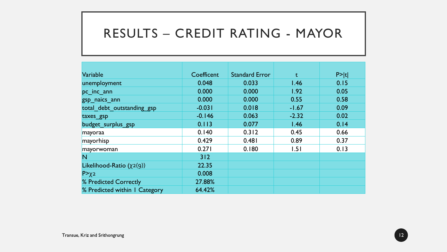#### RESULTS – CREDIT RATING - MAYOR

| Variable                       | Coefficent | <b>Standard Error</b> | t       | P >  t |
|--------------------------------|------------|-----------------------|---------|--------|
| unemployment                   | 0.048      | 0.033                 | 1.46    | 0.15   |
| pc inc ann                     | 0.000      | 0.000                 | 1.92    | 0.05   |
| gsp naics ann                  | 0.000      | 0.000                 | 0.55    | 0.58   |
| total debt outstanding gsp     | $-0.031$   | 0.018                 | $-1.67$ | 0.09   |
| taxes_gsp                      | $-0.146$   | 0.063                 | $-2.32$ | 0.02   |
| budget_surplus_gsp             | 0.113      | 0.077                 | 1.46    | 0.14   |
| mayoraa                        | 0.140      | 0.312                 | 0.45    | 0.66   |
| mayorhisp                      | 0.429      | 0.481                 | 0.89    | 0.37   |
| mayorwoman                     | 0.271      | 0.180                 | 1.51    | 0.13   |
| N                              | 312        |                       |         |        |
| Likelihood-Ratio $(\chi_2(g))$ | 22.35      |                       |         |        |
| $P>\chi$ 2                     | 0.008      |                       |         |        |
| % Predicted Correctly          | 27.88%     |                       |         |        |
| % Predicted within I Category  | 64.42%     |                       |         |        |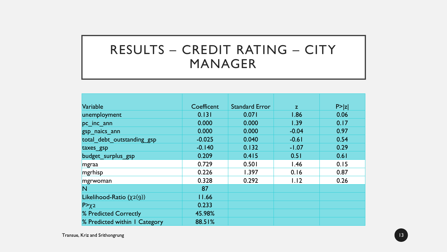## RESULTS – CREDIT RATING – CITY MANAGER

| Variable                       | Coefficent | <b>Standard Error</b> | Z.      | P >  z |
|--------------------------------|------------|-----------------------|---------|--------|
| unemployment                   | 0.131      | 0.071                 | 1.86    | 0.06   |
| pc inc ann                     | 0.000      | 0.000                 | 1.39    | 0.17   |
| gsp_naics_ann                  | 0.000      | 0.000                 | $-0.04$ | 0.97   |
| total debt outstanding gsp     | $-0.025$   | 0.040                 | $-0.61$ | 0.54   |
| taxes gsp                      | $-0.140$   | 0.132                 | $-1.07$ | 0.29   |
| budget_surplus_gsp             | 0.209      | 0.415                 | 0.51    | 0.61   |
| mgraa                          | 0.729      | 0.501                 | 1.46    | 0.15   |
| mgrhisp                        | 0.226      | 1.397                 | 0.16    | 0.87   |
| mgrwoman                       | 0.328      | 0.292                 | 1.12    | 0.26   |
| N                              | 87         |                       |         |        |
| Likelihood-Ratio $(\chi_2(q))$ | 11.66      |                       |         |        |
| $P>\chi$ 2                     | 0.233      |                       |         |        |
| % Predicted Correctly          | 45.98%     |                       |         |        |
| % Predicted within I Category  | 88.51%     |                       |         |        |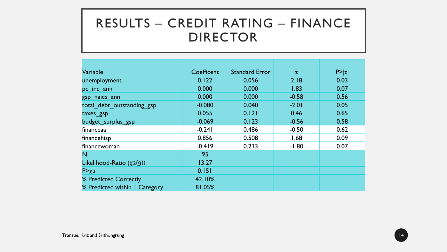#### RESULTS – CREDIT RATING – FINANCE DIRECTOR

| Variable                       | Coefficent | <b>Standard Error</b> | Z.      | P >  z |
|--------------------------------|------------|-----------------------|---------|--------|
| unemployment                   | 0.122      | 0.056                 | 2.18    | 0.03   |
| pc inc ann                     | 0.000      | 0.000                 | 1.83    | 0.07   |
| gsp naics ann                  | 0.000      | 0.000                 | $-0.58$ | 0.56   |
| total debt outstanding gsp     | $-0.080$   | 0.040                 | $-2.01$ | 0.05   |
| taxes_gsp                      | 0.055      | 0.121                 | 0.46    | 0.65   |
| budget surplus gsp             | $-0.069$   | 0.123                 | $-0.56$ | 0.58   |
| financeaa                      | $-0.241$   | 0.486                 | $-0.50$ | 0.62   |
| financehisp                    | 0.856      | 0.508                 | 1.68    | 0.09   |
| financewoman                   | $-0.419$   | 0.233                 | $-1.80$ | 0.07   |
| N                              | 95         |                       |         |        |
| Likelihood-Ratio $(\chi_2(g))$ | 13.27      |                       |         |        |
| $P>\chi$ 2                     | 0.151      |                       |         |        |
| % Predicted Correctly          | 42.10%     |                       |         |        |
| % Predicted within I Category  | 81.05%     |                       |         |        |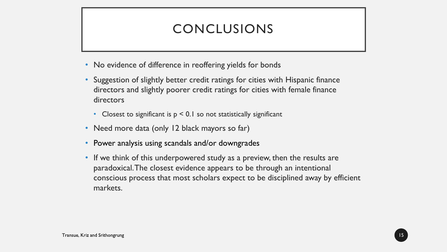### CONCLUSIONS

- No evidence of difference in reoffering yields for bonds
- Suggestion of slightly better credit ratings for cities with Hispanic finance directors and slightly poorer credit ratings for cities with female finance directors
	- Closest to significant is  $p < 0.1$  so not statistically significant
- Need more data (only 12 black mayors so far)
- Power analysis using scandals and/or downgrades
- If we think of this underpowered study as a preview, then the results are paradoxical. The closest evidence appears to be through an intentional conscious process that most scholars expect to be disciplined away by efficient markets.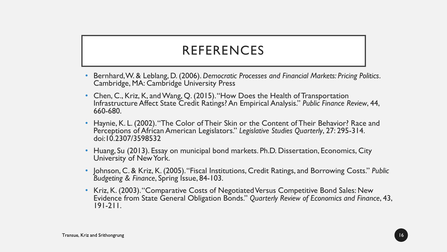#### REFERENCES

- Bernhard, W. & Leblang, D. (2006). *Democratic Processes and Financial Markets: Pricing Politics*. Cambridge, MA: Cambridge University Press
- Chen, C., Kriz, K, and Wang, Q. (2015). "How Does the Health of Transportation Infrastructure Affect State Credit Ratings? An Empirical Analysis." *Public Finance Review*, 44, 660-680.
- Haynie, K. L. (2002). "The Color of Their Skin or the Content of Their Behavior? Race and Perceptions of African American Legislators." *Legislative Studies Quarterly*, 27: 295-314. doi:10.2307/3598532
- Huang, Su (2013). Essay on municipal bond markets. Ph.D. Dissertation, Economics, City University of New York.
- Johnson, C. & Kriz, K. (2005). "Fiscal Institutions, Credit Ratings, and Borrowing Costs." *Public Budgeting & Finance*, Spring Issue, 84-103.
- Kriz, K. (2003). "Comparative Costs of Negotiated Versus Competitive Bond Sales: New Evidence from State General Obligation Bonds." *Quarterly Review of Economics and Finance*, 43, 191-211.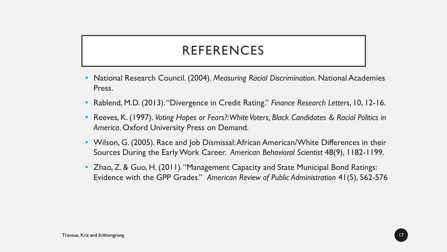#### REFERENCES

- National Research Council. (2004). *Measuring Racial Discrimination*. National Academies Press.
- Rablend, M.D. (2013). "Divergence in Credit Rating." *Finance Research Letters*, 10, 12-16.
- Reeves, K. (1997). *Voting Hopes or Fears?: White Voters, Black Candidates & Racial Politics in America*. Oxford University Press on Demand.
- Wilson, G. (2005). Race and Job Dismissal: African American/White Differences in their Sources During the Early Work Career. *American Behavioral Scientist* 48(9), 1182-1199.
- Zhao, Z. & Guo, H. (2011). "Management Capacity and State Municipal Bond Ratings: Evidence with the GPP Grades." *American Review of Public Administration* 41(5), 562-576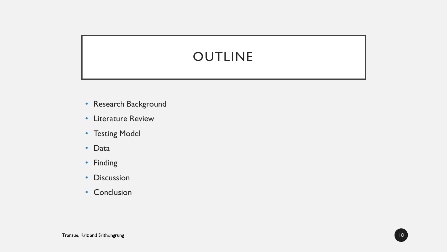### **OUTLINE**

- Research Background
- Literature Review
- Testing Model
- Data
- Finding
- Discussion
- Conclusion